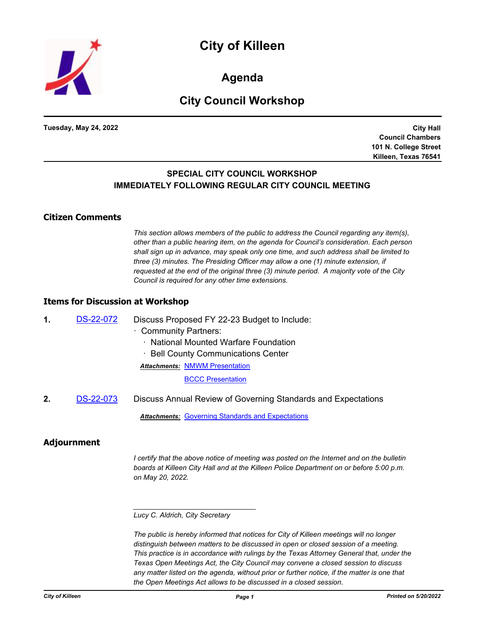

**Agenda**

# **City Council Workshop**

**Tuesday, May 24, 2022**

**City Hall Council Chambers 101 N. College Street Killeen, Texas 76541**

# **SPECIAL CITY COUNCIL WORKSHOP IMMEDIATELY FOLLOWING REGULAR CITY COUNCIL MEETING**

## **Citizen Comments**

*This section allows members of the public to address the Council regarding any item(s), other than a public hearing item, on the agenda for Council's consideration. Each person shall sign up in advance, may speak only one time, and such address shall be limited to three (3) minutes. The Presiding Officer may allow a one (1) minute extension, if requested at the end of the original three (3) minute period. A majority vote of the City Council is required for any other time extensions.*

#### **Items for Discussion at Workshop**

**1.** [DS-22-072](http://killeen.legistar.com/gateway.aspx?m=l&id=/matter.aspx?key=6124) Discuss Proposed FY 22-23 Budget to Include:

- · Community Partners:
	- · National Mounted Warfare Foundation
	- Bell County Communications Center
	- **Attachments: [NMWM Presentation](http://killeen.legistar.com/gateway.aspx?M=F&ID=c5b6fd6a-ea77-4d49-b356-b6ffbe78b8c4.pdf)**

**[BCCC Presentation](http://killeen.legistar.com/gateway.aspx?M=F&ID=4d732aab-196f-43df-9f25-08788834e4e1.pdf)** 

**2.** [DS-22-073](http://killeen.legistar.com/gateway.aspx?m=l&id=/matter.aspx?key=6178) Discuss Annual Review of Governing Standards and Expectations

*Attachments:* [Governing Standards and Expectations](http://killeen.legistar.com/gateway.aspx?M=F&ID=67cb0e22-58fd-49df-bde8-cbe0a0868dec.pdf)

## **Adjournment**

*I certify that the above notice of meeting was posted on the Internet and on the bulletin boards at Killeen City Hall and at the Killeen Police Department on or before 5:00 p.m. on May 20, 2022.*

*\_\_\_\_\_\_\_\_\_\_\_\_\_\_\_\_\_\_\_\_\_\_\_\_\_\_\_\_\_\_\_*

*The public is hereby informed that notices for City of Killeen meetings will no longer distinguish between matters to be discussed in open or closed session of a meeting. This practice is in accordance with rulings by the Texas Attorney General that, under the Texas Open Meetings Act, the City Council may convene a closed session to discuss*  any matter listed on the agenda, without prior or further notice, if the matter is one that *the Open Meetings Act allows to be discussed in a closed session.*

*Lucy C. Aldrich, City Secretary*